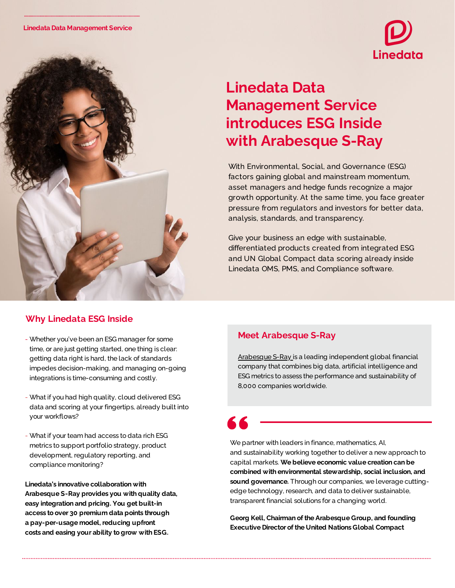

# **Linedata Data Management Service introduces ESG Inside with Arabesque S-Ray** With Environmental, Social, and Governance (ESG)

factors gaining global and mainstream momentum, asset managers and hedge funds recognize a major growth opportunity. At the same time, you face greater pressure from regulators and investors for better data, analysis, standards, and transparency.

Give your business an edge with sustainable, differentiated products created from integrated ESG and UN Global Compact data scoring already inside Linedata OMS, PMS, and Compliance software.

# **Why Linedata ESG Inside**

- Whether you've been an ESG manager for some time, or are just getting started, one thing is clear: getting data right is hard, the lack of standards impedes decision-making, and managing on-going integrations is time-consuming and costly.
- What if you had high quality, cloud delivered ESG data and scoring at your fingertips, already built into your workflows?
- What if your team had access to data rich ESG metrics to support portfolio strategy, product development, regulatory reporting, and compliance monitoring?

## **Linedata's innovative collaboration with Arabesque S-Ray provides you with quality data, easy integration and pricing. You get built-in access to over 30 premium data points through a pay-per-usage model, reducing upfront costs and easing your ability to grow with ESG.**

# **Meet Arabesque S-Ray**

[Arabesque](https://www.arabesque.com/s-ray/) S-Ray is a leading independent global financial company that combines big data, artificial intelligence and ESG metrics to assess the performance and sustainability of 8,000 companies worldwide.

We partner with leaders in finance, mathematics, AI, and sustainability working together to deliver a new approach to capital markets. **We believe economic value creation can be combined with environmental stewardship, social inclusion, and sound governance.** Through our companies, we leverage cuttingedge technology, research, and data to deliver sustainable, transparent financial solutions for a changing world.

**Georg Kell, Chairman ofthe Arabesque Group, and founding Executive Director ofthe United Nations Global Compact**